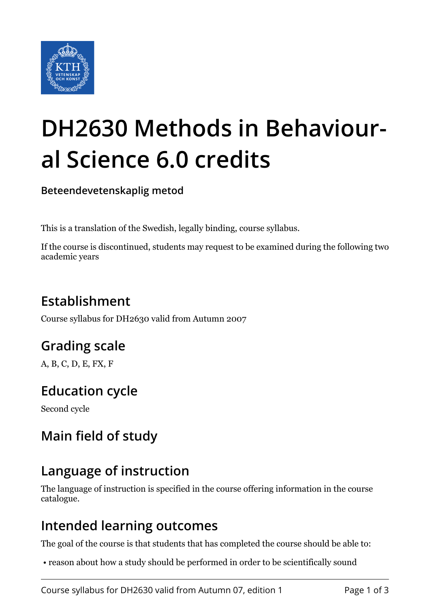

# **DH2630 Methods in Behavioural Science 6.0 credits**

**Beteendevetenskaplig metod**

This is a translation of the Swedish, legally binding, course syllabus.

If the course is discontinued, students may request to be examined during the following two academic years

# **Establishment**

Course syllabus for DH2630 valid from Autumn 2007

# **Grading scale**

A, B, C, D, E, FX, F

# **Education cycle**

Second cycle

# **Main field of study**

## **Language of instruction**

The language of instruction is specified in the course offering information in the course catalogue.

#### **Intended learning outcomes**

The goal of the course is that students that has completed the course should be able to:

• reason about how a study should be performed in order to be scientifically sound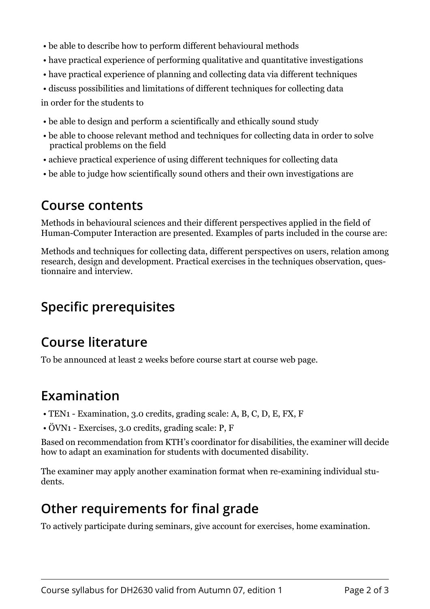- be able to describe how to perform different behavioural methods
- have practical experience of performing qualitative and quantitative investigations
- have practical experience of planning and collecting data via different techniques
- discuss possibilities and limitations of different techniques for collecting data

in order for the students to

- be able to design and perform a scientifically and ethically sound study
- be able to choose relevant method and techniques for collecting data in order to solve practical problems on the field
- achieve practical experience of using different techniques for collecting data
- be able to judge how scientifically sound others and their own investigations are

#### **Course contents**

Methods in behavioural sciences and their different perspectives applied in the field of Human-Computer Interaction are presented. Examples of parts included in the course are:

Methods and techniques for collecting data, different perspectives on users, relation among research, design and development. Practical exercises in the techniques observation, questionnaire and interview.

# **Specific prerequisites**

## **Course literature**

To be announced at least 2 weeks before course start at course web page.

## **Examination**

- TEN1 Examination, 3.0 credits, grading scale: A, B, C, D, E, FX, F
- ÖVN1 Exercises, 3.0 credits, grading scale: P, F

Based on recommendation from KTH's coordinator for disabilities, the examiner will decide how to adapt an examination for students with documented disability.

The examiner may apply another examination format when re-examining individual students.

## **Other requirements for final grade**

To actively participate during seminars, give account for exercises, home examination.